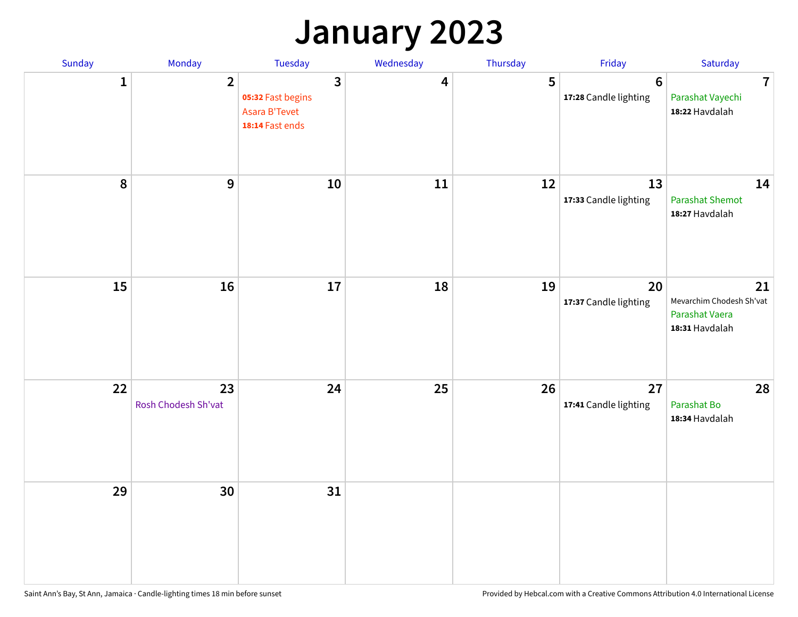### **January 2023**

| Sunday           | Monday                    | Tuesday                                                                                 | Wednesday | Thursday | Friday                                   | Saturday                                                           |
|------------------|---------------------------|-----------------------------------------------------------------------------------------|-----------|----------|------------------------------------------|--------------------------------------------------------------------|
| 1                | $\overline{2}$            | $\overline{\mathbf{3}}$<br>05:32 Fast begins<br><b>Asara B'Tevet</b><br>18:14 Fast ends | 4         | 5        | $6\phantom{1}6$<br>17:28 Candle lighting | $\overline{7}$<br>Parashat Vayechi<br>18:22 Havdalah               |
| $\boldsymbol{8}$ | $\mathbf{9}$              | 10                                                                                      | 11        | 12       | 13<br>17:33 Candle lighting              | 14<br><b>Parashat Shemot</b><br>18:27 Havdalah                     |
| 15               | 16                        | 17                                                                                      | 18        | 19       | 20<br>17:37 Candle lighting              | 21<br>Mevarchim Chodesh Sh'vat<br>Parashat Vaera<br>18:31 Havdalah |
| 22               | 23<br>Rosh Chodesh Sh'vat | 24                                                                                      | 25        | 26       | 27<br>17:41 Candle lighting              | 28<br>Parashat Bo<br>18:34 Havdalah                                |
| 29               | 30                        | 31                                                                                      |           |          |                                          |                                                                    |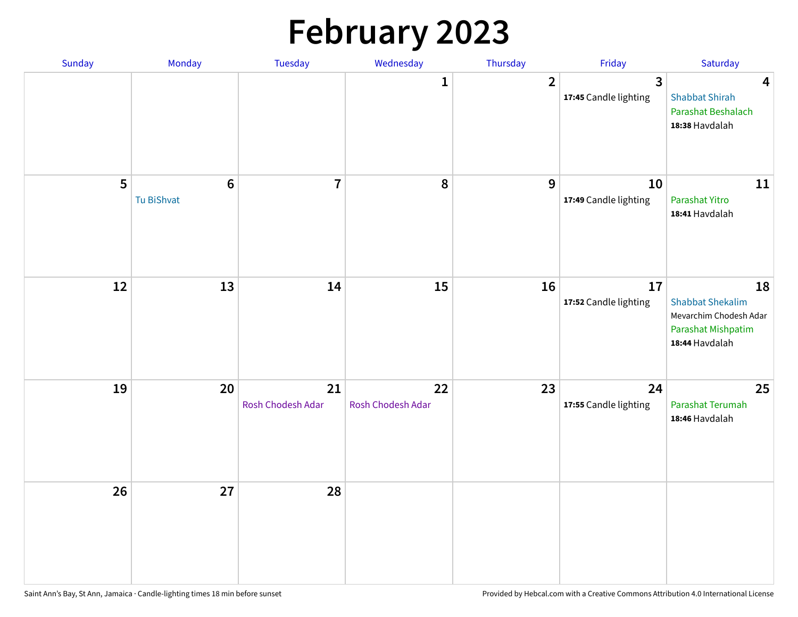# **February 2023**

| Sunday | Monday                        | Tuesday                 | Wednesday               | Thursday         | Friday                                  | Saturday                                                                                               |
|--------|-------------------------------|-------------------------|-------------------------|------------------|-----------------------------------------|--------------------------------------------------------------------------------------------------------|
|        |                               |                         | 1                       | $\overline{2}$   | $\overline{3}$<br>17:45 Candle lighting | $\overline{\mathbf{4}}$<br><b>Shabbat Shirah</b><br>Parashat Beshalach<br>18:38 Havdalah               |
| 5      | $6\phantom{1}6$<br>Tu BiShvat | $\overline{7}$          | ${\bf 8}$               | $\boldsymbol{9}$ | 10<br>17:49 Candle lighting             | 11<br>Parashat Yitro<br>18:41 Havdalah                                                                 |
| 12     | 13                            | 14                      | 15                      | 16               | 17<br>17:52 Candle lighting             | 18<br><b>Shabbat Shekalim</b><br>Mevarchim Chodesh Adar<br><b>Parashat Mishpatim</b><br>18:44 Havdalah |
| 19     | 20                            | 21<br>Rosh Chodesh Adar | 22<br>Rosh Chodesh Adar | 23               | 24<br>17:55 Candle lighting             | 25<br>Parashat Terumah<br>18:46 Havdalah                                                               |
| 26     | 27                            | 28                      |                         |                  |                                         |                                                                                                        |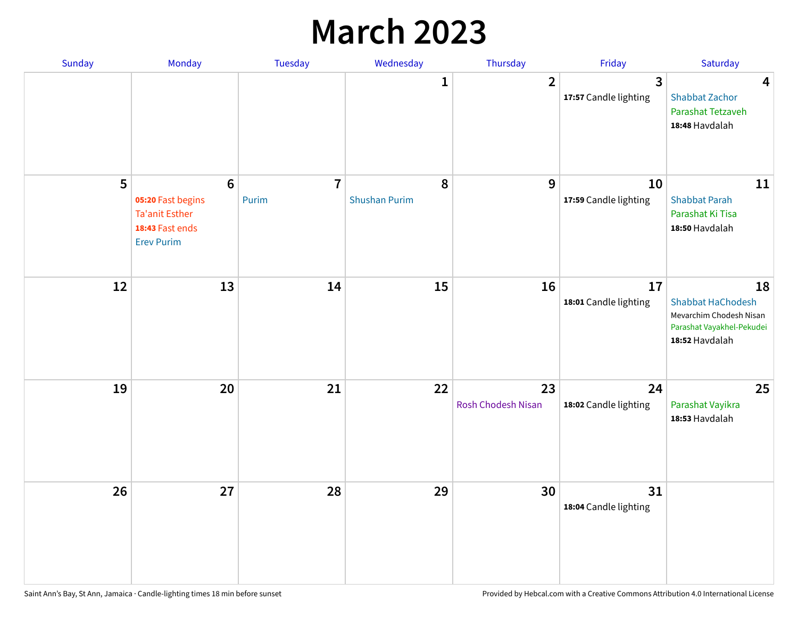### **March 2023**

| Sunday | Monday                                                                                                | Tuesday                 | Wednesday                 | Thursday                        | Friday                      | Saturday                                                                                                 |
|--------|-------------------------------------------------------------------------------------------------------|-------------------------|---------------------------|---------------------------------|-----------------------------|----------------------------------------------------------------------------------------------------------|
|        |                                                                                                       |                         | 1                         | $\overline{2}$                  | 3<br>17:57 Candle lighting  | 4<br><b>Shabbat Zachor</b><br>Parashat Tetzaveh<br>18:48 Havdalah                                        |
| 5      | $6\phantom{1}6$<br>05:20 Fast begins<br><b>Ta'anit Esther</b><br>18:43 Fast ends<br><b>Erev Purim</b> | $\overline{7}$<br>Purim | 8<br><b>Shushan Purim</b> | 9                               | 10<br>17:59 Candle lighting | 11<br><b>Shabbat Parah</b><br>Parashat Ki Tisa<br>18:50 Havdalah                                         |
| 12     | 13                                                                                                    | 14                      | 15                        | 16                              | 17<br>18:01 Candle lighting | 18<br><b>Shabbat HaChodesh</b><br>Mevarchim Chodesh Nisan<br>Parashat Vayakhel-Pekudei<br>18:52 Havdalah |
| 19     | 20                                                                                                    | 21                      | 22                        | 23<br><b>Rosh Chodesh Nisan</b> | 24<br>18:02 Candle lighting | 25<br>Parashat Vayikra<br>18:53 Havdalah                                                                 |
| 26     | 27                                                                                                    | 28                      | 29                        | 30                              | 31<br>18:04 Candle lighting |                                                                                                          |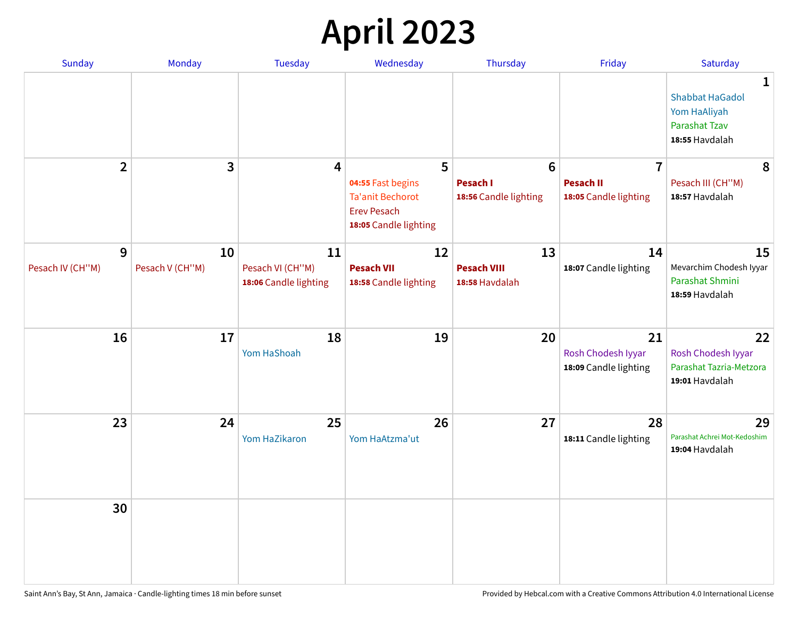# **April 2023**

| Sunday           | Monday          | <b>Tuesday</b>                            | Wednesday                                                                                   | Thursday                             | Friday                                            | Saturday                                                                              |
|------------------|-----------------|-------------------------------------------|---------------------------------------------------------------------------------------------|--------------------------------------|---------------------------------------------------|---------------------------------------------------------------------------------------|
|                  |                 |                                           |                                                                                             |                                      |                                                   | 1<br><b>Shabbat HaGadol</b><br>Yom HaAliyah<br><b>Parashat Tzav</b><br>18:55 Havdalah |
| $\overline{2}$   | 3               | $\overline{4}$                            | 5                                                                                           | $6\phantom{1}6$                      | $\overline{7}$                                    | 8                                                                                     |
|                  |                 |                                           | 04:55 Fast begins<br><b>Ta'anit Bechorot</b><br><b>Erev Pesach</b><br>18:05 Candle lighting | Pesach I<br>18:56 Candle lighting    | <b>Pesach II</b><br>18:05 Candle lighting         | Pesach III (CH"M)<br>18:57 Havdalah                                                   |
| 9                | 10              | 11                                        | 12                                                                                          | 13                                   | 14                                                | 15                                                                                    |
| Pesach IV (CH"M) | Pesach V (CH"M) | Pesach VI (CH"M)<br>18:06 Candle lighting | <b>Pesach VII</b><br>18:58 Candle lighting                                                  | <b>Pesach VIII</b><br>18:58 Havdalah | 18:07 Candle lighting                             | Mevarchim Chodesh Iyyar<br>Parashat Shmini<br>18:59 Havdalah                          |
| 16               | 17              | 18<br>Yom HaShoah                         | 19                                                                                          | 20                                   | 21<br>Rosh Chodesh Iyyar<br>18:09 Candle lighting | 22<br>Rosh Chodesh Iyyar<br>Parashat Tazria-Metzora<br>19:01 Havdalah                 |
| 23               | 24              | 25<br>Yom HaZikaron                       | 26<br>Yom HaAtzma'ut                                                                        | 27                                   | 28<br>18:11 Candle lighting                       | 29<br>Parashat Achrei Mot-Kedoshim<br>19:04 Havdalah                                  |
| 30               |                 |                                           |                                                                                             |                                      |                                                   |                                                                                       |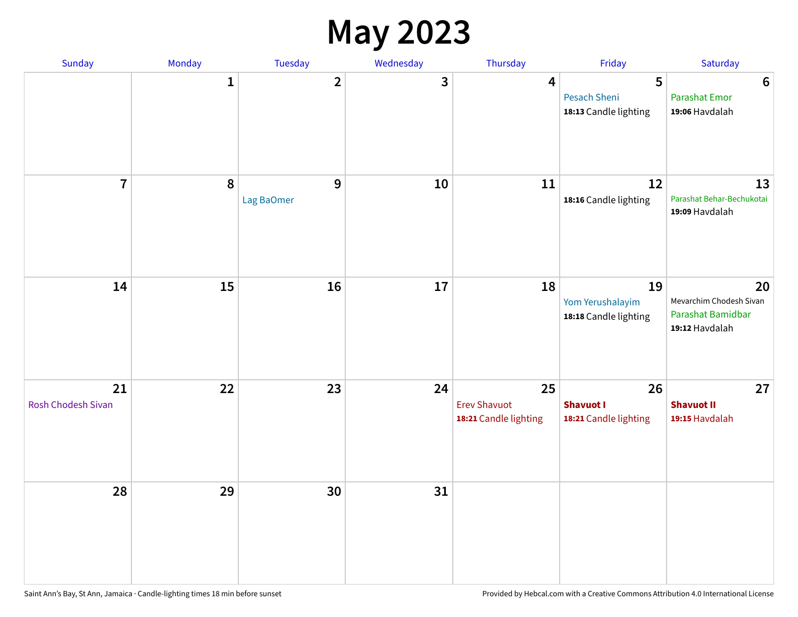#### **May 2023**

| Sunday                   | Monday       | Tuesday                 | Wednesday | Thursday                                           | Friday                                            | Saturday                                                             |
|--------------------------|--------------|-------------------------|-----------|----------------------------------------------------|---------------------------------------------------|----------------------------------------------------------------------|
|                          | $\mathbf{1}$ | $\overline{\mathbf{2}}$ | 3         | $\overline{\mathbf{4}}$                            | 5<br><b>Pesach Sheni</b><br>18:13 Candle lighting | $\boldsymbol{6}$<br><b>Parashat Emor</b><br>19:06 Havdalah           |
| $\overline{7}$           | $\pmb{8}$    | 9<br>Lag BaOmer         | 10        | 11                                                 | 12<br>18:16 Candle lighting                       | 13<br>Parashat Behar-Bechukotai<br>19:09 Havdalah                    |
| 14                       | 15           | 16                      | 17        | 18                                                 | 19<br>Yom Yerushalayim<br>18:18 Candle lighting   | 20<br>Mevarchim Chodesh Sivan<br>Parashat Bamidbar<br>19:12 Havdalah |
| 21<br>Rosh Chodesh Sivan | 22           | 23                      | 24        | 25<br><b>Erev Shavuot</b><br>18:21 Candle lighting | 26<br><b>Shavuot I</b><br>18:21 Candle lighting   | 27<br><b>Shavuot II</b><br>19:15 Havdalah                            |
| 28                       | 29           | 30                      | 31        |                                                    |                                                   |                                                                      |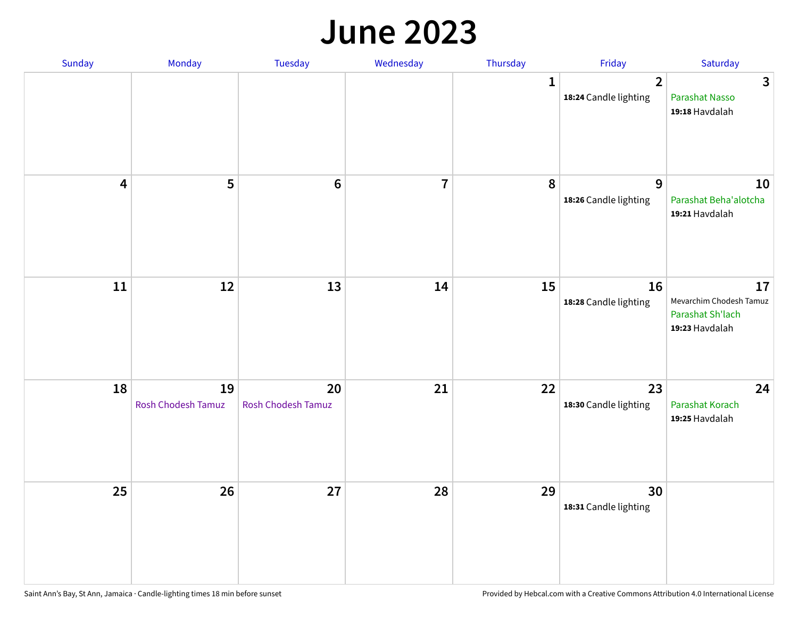#### **June 2023**

| Sunday                  | Monday                   | Tuesday                         | Wednesday      | Thursday     | Friday                                  | Saturday                                                            |
|-------------------------|--------------------------|---------------------------------|----------------|--------------|-----------------------------------------|---------------------------------------------------------------------|
|                         |                          |                                 |                | $\mathbf{1}$ | $\overline{2}$<br>18:24 Candle lighting | $\overline{3}$<br>Parashat Nasso<br>19:18 Havdalah                  |
| $\overline{\mathbf{4}}$ | 5                        | $\bf 6$                         | $\overline{7}$ | 8            | 9<br>18:26 Candle lighting              | 10<br>Parashat Beha'alotcha<br>19:21 Havdalah                       |
| $11\,$                  | 12                       | 13                              | 14             | 15           | 16<br>18:28 Candle lighting             | 17<br>Mevarchim Chodesh Tamuz<br>Parashat Sh'lach<br>19:23 Havdalah |
| 18                      | 19<br>Rosh Chodesh Tamuz | 20<br><b>Rosh Chodesh Tamuz</b> | 21             | 22           | 23<br>18:30 Candle lighting             | 24<br>Parashat Korach<br>19:25 Havdalah                             |
| 25                      | 26                       | 27                              | 28             | 29           | 30<br>18:31 Candle lighting             |                                                                     |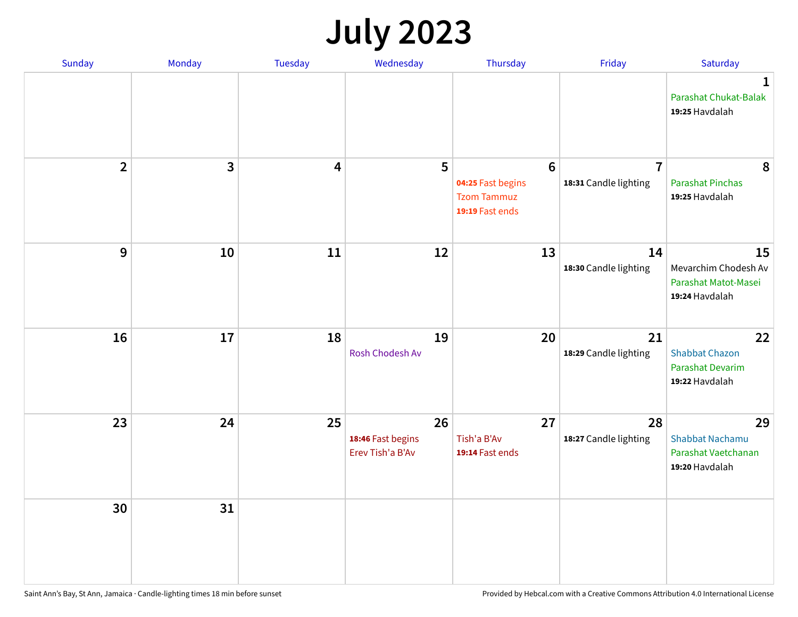# **July 2023**

| Sunday         | Monday       | <b>Tuesday</b>          | Wednesday                                   | Thursday                                                                      | Friday                                  | Saturday                                                              |
|----------------|--------------|-------------------------|---------------------------------------------|-------------------------------------------------------------------------------|-----------------------------------------|-----------------------------------------------------------------------|
|                |              |                         |                                             |                                                                               |                                         | $\mathbf 1$<br>Parashat Chukat-Balak<br>19:25 Havdalah                |
| $\overline{2}$ | $\mathbf{3}$ | $\overline{\mathbf{4}}$ | 5                                           | $6\phantom{1}6$<br>04:25 Fast begins<br><b>Tzom Tammuz</b><br>19:19 Fast ends | $\overline{7}$<br>18:31 Candle lighting | 8<br><b>Parashat Pinchas</b><br>19:25 Havdalah                        |
| 9              | 10           | 11                      | 12                                          | 13                                                                            | 14<br>18:30 Candle lighting             | 15<br>Mevarchim Chodesh Av<br>Parashat Matot-Masei<br>19:24 Havdalah  |
| 16             | 17           | 18                      | 19<br>Rosh Chodesh Av                       | 20                                                                            | 21<br>18:29 Candle lighting             | 22<br><b>Shabbat Chazon</b><br>Parashat Devarim<br>19:22 Havdalah     |
| 23             | 24           | 25                      | 26<br>18:46 Fast begins<br>Erev Tish'a B'Av | 27<br>Tish'a B'Av<br>19:14 Fast ends                                          | 28<br>18:27 Candle lighting             | 29<br><b>Shabbat Nachamu</b><br>Parashat Vaetchanan<br>19:20 Havdalah |
| 30             | 31           |                         |                                             |                                                                               |                                         |                                                                       |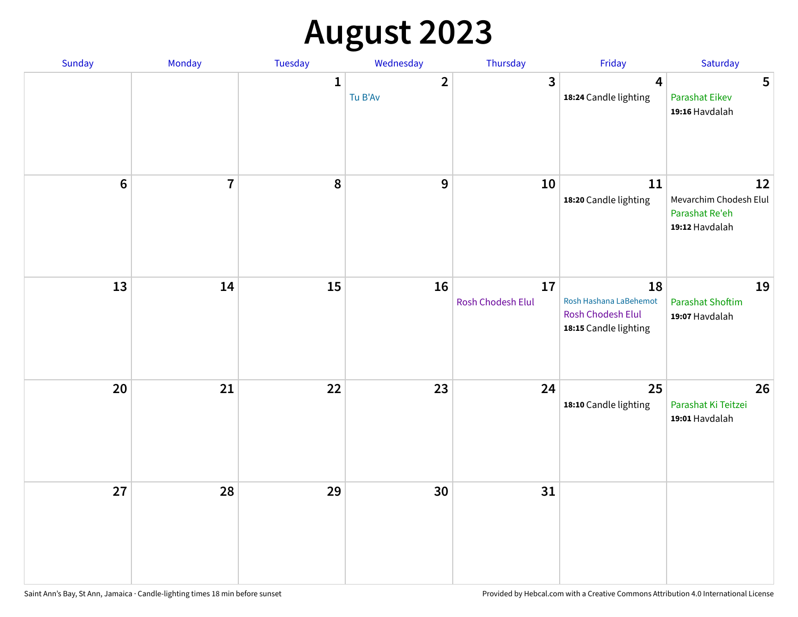# **August 2023**

| Sunday           | Monday         | Tuesday      | Wednesday                 | Thursday                | Friday                                                                     | Saturday                                                         |
|------------------|----------------|--------------|---------------------------|-------------------------|----------------------------------------------------------------------------|------------------------------------------------------------------|
|                  |                | $\mathbf{1}$ | $\overline{2}$<br>Tu B'Av | 3                       | $\overline{\mathbf{4}}$<br>18:24 Candle lighting                           | 5<br><b>Parashat Eikev</b><br>19:16 Havdalah                     |
| $\boldsymbol{6}$ | $\overline{7}$ | 8            | $\mathbf 9$               | 10                      | ${\bf 11}$<br>18:20 Candle lighting                                        | 12<br>Mevarchim Chodesh Elul<br>Parashat Re'eh<br>19:12 Havdalah |
| 13               | 14             | 15           | 16                        | 17<br>Rosh Chodesh Elul | 18<br>Rosh Hashana LaBehemot<br>Rosh Chodesh Elul<br>18:15 Candle lighting | 19<br><b>Parashat Shoftim</b><br>19:07 Havdalah                  |
| 20               | 21             | 22           | 23                        | 24                      | 25<br>18:10 Candle lighting                                                | 26<br>Parashat Ki Teitzei<br>19:01 Havdalah                      |
| 27               | 28             | 29           | 30                        | 31                      |                                                                            |                                                                  |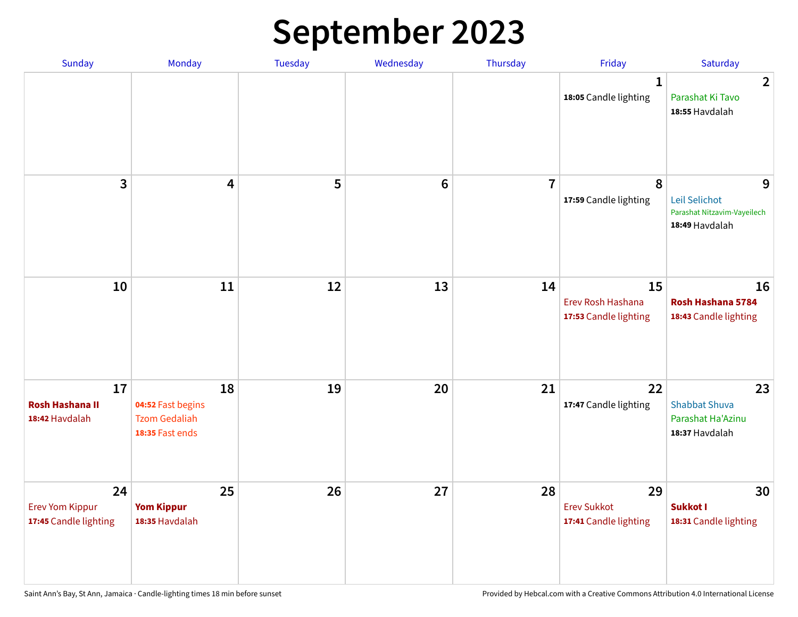# **September 2023**

| Sunday                                                | Monday                                                             | Tuesday | Wednesday      | Thursday       | Friday                                            | Saturday                                                            |
|-------------------------------------------------------|--------------------------------------------------------------------|---------|----------------|----------------|---------------------------------------------------|---------------------------------------------------------------------|
|                                                       |                                                                    |         |                |                | 1<br>18:05 Candle lighting                        | $\overline{2}$<br>Parashat Ki Tavo<br>18:55 Havdalah                |
| 3                                                     | $\overline{\mathbf{4}}$                                            | 5       | $6\phantom{1}$ | $\overline{7}$ | 8<br>17:59 Candle lighting                        | 9<br>Leil Selichot<br>Parashat Nitzavim-Vayeilech<br>18:49 Havdalah |
| 10                                                    | 11                                                                 | 12      | 13             | 14             | 15<br>Erev Rosh Hashana<br>17:53 Candle lighting  | 16<br>Rosh Hashana 5784<br>18:43 Candle lighting                    |
| 17<br><b>Rosh Hashana II</b><br>18:42 Havdalah        | 18<br>04:52 Fast begins<br><b>Tzom Gedaliah</b><br>18:35 Fast ends | 19      | 20             | 21             | 22<br>17:47 Candle lighting                       | 23<br><b>Shabbat Shuva</b><br>Parashat Ha'Azinu<br>18:37 Havdalah   |
| 24<br><b>Erev Yom Kippur</b><br>17:45 Candle lighting | 25<br><b>Yom Kippur</b><br>18:35 Havdalah                          | 26      | 27             | 28             | 29<br><b>Erev Sukkot</b><br>17:41 Candle lighting | 30<br>Sukkot I<br>18:31 Candle lighting                             |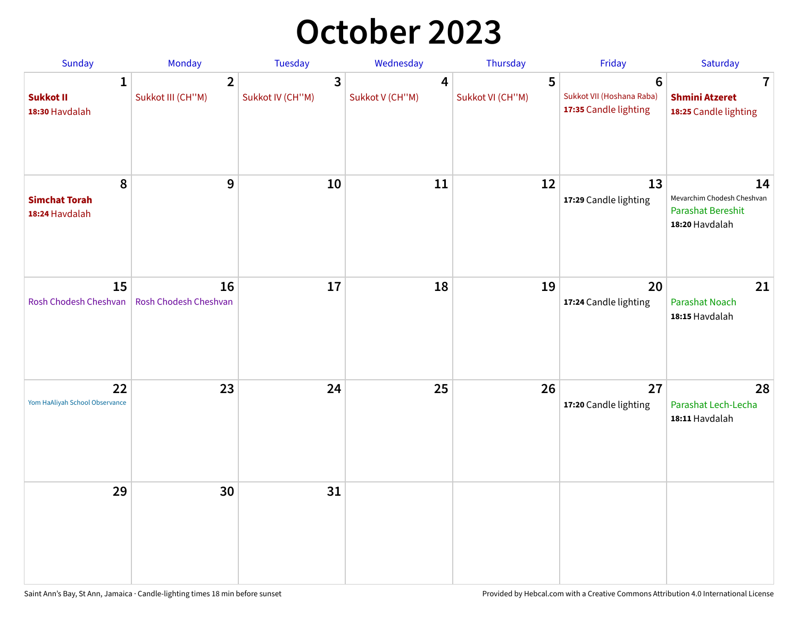## **October 2023**

| Sunday                                             | <b>Monday</b>                       | <b>Tuesday</b>        | Wednesday            | Thursday              | Friday                                                               | Saturday                                                                       |
|----------------------------------------------------|-------------------------------------|-----------------------|----------------------|-----------------------|----------------------------------------------------------------------|--------------------------------------------------------------------------------|
| $\mathbf{1}$<br><b>Sukkot II</b><br>18:30 Havdalah | $\overline{2}$<br>Sukkot III (CH"M) | 3<br>Sukkot IV (CH"M) | 4<br>Sukkot V (CH"M) | 5<br>Sukkot VI (CH"M) | $6\phantom{1}$<br>Sukkot VII (Hoshana Raba)<br>17:35 Candle lighting | 7<br><b>Shmini Atzeret</b><br>18:25 Candle lighting                            |
| 8<br><b>Simchat Torah</b><br>18:24 Havdalah        | 9                                   | 10                    | 11                   | 12                    | 13<br>17:29 Candle lighting                                          | 14<br>Mevarchim Chodesh Cheshvan<br><b>Parashat Bereshit</b><br>18:20 Havdalah |
| 15<br>Rosh Chodesh Cheshvan                        | 16<br>Rosh Chodesh Cheshvan         | 17                    | 18                   | 19                    | 20<br>17:24 Candle lighting                                          | 21<br>Parashat Noach<br>18:15 Havdalah                                         |
| 22<br>Yom HaAliyah School Observance               | 23                                  | 24                    | 25                   | 26                    | 27<br>17:20 Candle lighting                                          | 28<br>Parashat Lech-Lecha<br>18:11 Havdalah                                    |
| 29                                                 | 30                                  | 31                    |                      |                       |                                                                      |                                                                                |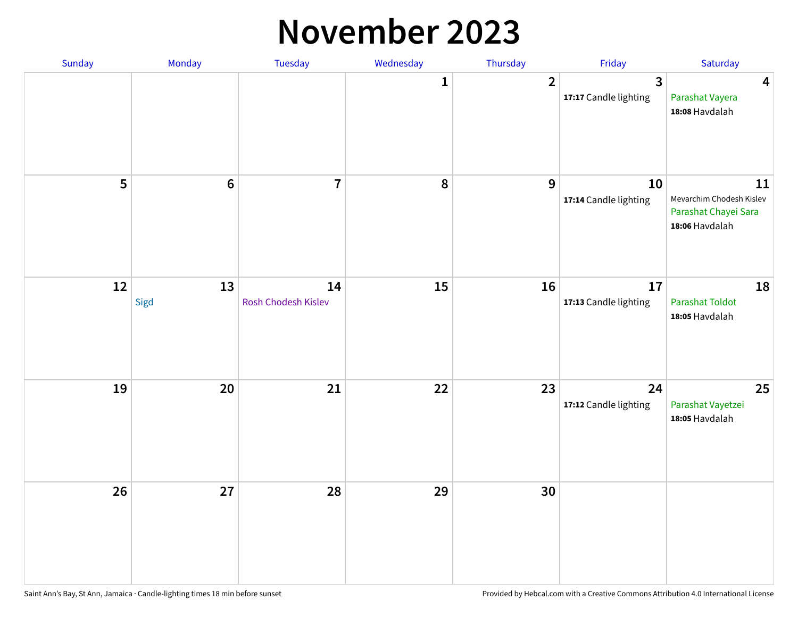#### **November 2023**

| Sunday | Monday          | Tuesday                   | Wednesday | Thursday       | Friday                      | Saturday                                                                 |
|--------|-----------------|---------------------------|-----------|----------------|-----------------------------|--------------------------------------------------------------------------|
|        |                 |                           | 1         | $\overline{2}$ | 3<br>17:17 Candle lighting  | $\overline{\mathbf{4}}$<br>Parashat Vayera<br>18:08 Havdalah             |
| 5      | $6\phantom{1}6$ | $\overline{7}$            | 8         | $\mathbf{9}$   | 10<br>17:14 Candle lighting | 11<br>Mevarchim Chodesh Kislev<br>Parashat Chayei Sara<br>18:06 Havdalah |
| 12     | 13<br>Sigd      | 14<br>Rosh Chodesh Kislev | 15        | 16             | 17<br>17:13 Candle lighting | 18<br><b>Parashat Toldot</b><br>18:05 Havdalah                           |
| 19     | 20              | 21                        | 22        | 23             | 24<br>17:12 Candle lighting | 25<br>Parashat Vayetzei<br>18:05 Havdalah                                |
| 26     | 27              | 28                        | 29        | 30             |                             |                                                                          |